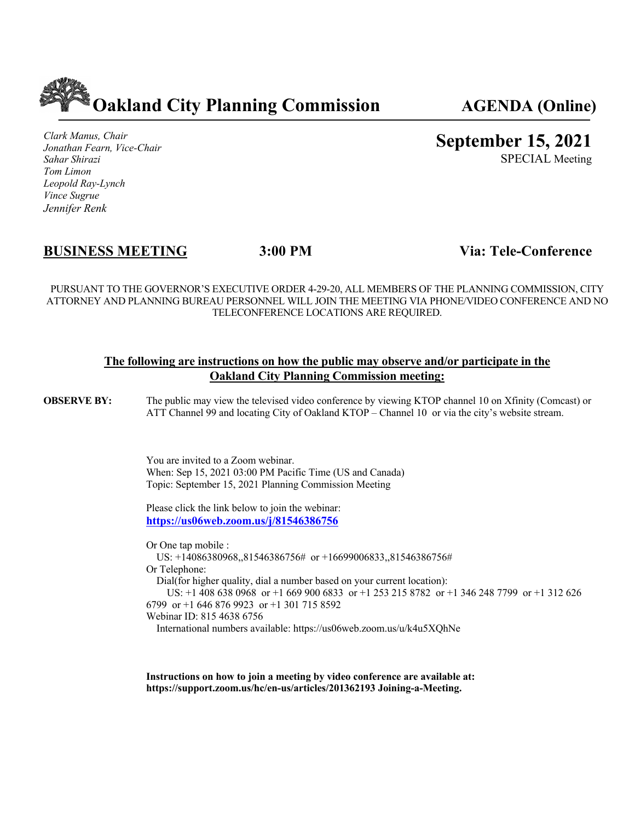

*Clark Manus, Chair Jonathan Fearn, Vice-Chair Sahar Shirazi Tom Limon Leopold Ray-Lynch Vince Sugrue Jennifer Renk*

# **September 15, 2021**

SPECIAL Meeting

## **BUSINESS MEETING 3:00 PM Via: Tele-Conference**

PURSUANT TO THE GOVERNOR'S EXECUTIVE ORDER 4-29-20, ALL MEMBERS OF THE PLANNING COMMISSION, CITY ATTORNEY AND PLANNING BUREAU PERSONNEL WILL JOIN THE MEETING VIA PHONE/VIDEO CONFERENCE AND NO TELECONFERENCE LOCATIONS ARE REQUIRED.

#### **The following are instructions on how the public may observe and/or participate in the Oakland City Planning Commission meeting:**

**OBSERVE BY:** The public may view the televised video conference by viewing KTOP channel 10 on Xfinity (Comcast) or ATT Channel 99 and locating City of Oakland KTOP – Channel 10 or via the city's website stream.

> You are invited to a Zoom webinar. When: Sep 15, 2021 03:00 PM Pacific Time (US and Canada) Topic: September 15, 2021 Planning Commission Meeting

Please click the link below to join the webinar: **https://us06web.zoom.us/j/81546386756**

Or One tap mobile : US: +14086380968,,81546386756# or +16699006833,,81546386756# Or Telephone: Dial(for higher quality, dial a number based on your current location): US: +1 408 638 0968 or +1 669 900 6833 or +1 253 215 8782 or +1 346 248 7799 or +1 312 626 6799 or +1 646 876 9923 or +1 301 715 8592 Webinar ID: 815 4638 6756 International numbers available: https://us06web.zoom.us/u/k4u5XQhNe

**Instructions on how to join a meeting by video conference are available at: https://support.zoom.us/hc/en-us/articles/201362193 Joining-a-Meeting.**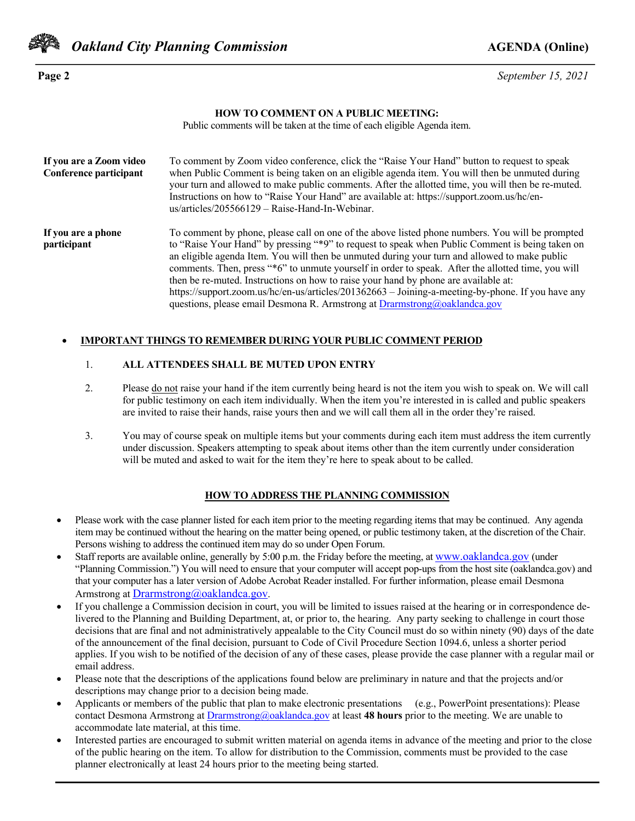

*Oakland City Planning Commission AGENDA* **(Online)** 

**Page 2** *September 15, 2021*

#### **HOW TO COMMENT ON A PUBLIC MEETING:**

Public comments will be taken at the time of each eligible Agenda item.

| If you are a Zoom video<br>Conference participant | To comment by Zoom video conference, click the "Raise Your Hand" button to request to speak<br>when Public Comment is being taken on an eligible agenda item. You will then be unmuted during<br>your turn and allowed to make public comments. After the allotted time, you will then be re-muted.<br>Instructions on how to "Raise Your Hand" are available at: https://support.zoom.us/hc/en-<br>$us/articles/205566129 - Raise-Hand-In-Webinar.$                                                                                                                                                                                                                               |
|---------------------------------------------------|------------------------------------------------------------------------------------------------------------------------------------------------------------------------------------------------------------------------------------------------------------------------------------------------------------------------------------------------------------------------------------------------------------------------------------------------------------------------------------------------------------------------------------------------------------------------------------------------------------------------------------------------------------------------------------|
| If you are a phone<br>participant                 | To comment by phone, please call on one of the above listed phone numbers. You will be prompted<br>to "Raise Your Hand" by pressing "*9" to request to speak when Public Comment is being taken on<br>an eligible agenda Item. You will then be unmuted during your turn and allowed to make public<br>comments. Then, press "*6" to unmute yourself in order to speak. After the allotted time, you will<br>then be re-muted. Instructions on how to raise your hand by phone are available at:<br>https://support.zoom.us/hc/en-us/articles/201362663 - Joining-a-meeting-by-phone. If you have any<br>questions, please email Desmona R. Armstrong at Drarmstrong@oaklandca.gov |

#### • **IMPORTANT THINGS TO REMEMBER DURING YOUR PUBLIC COMMENT PERIOD**

#### 1. **ALL ATTENDEES SHALL BE MUTED UPON ENTRY**

- 2. Please <u>do not</u> raise your hand if the item currently being heard is not the item you wish to speak on. We will call for public testimony on each item individually. When the item you're interested in is called and public speakers are invited to raise their hands, raise yours then and we will call them all in the order they're raised.
- 3. You may of course speak on multiple items but your comments during each item must address the item currently under discussion. Speakers attempting to speak about items other than the item currently under consideration will be muted and asked to wait for the item they're here to speak about to be called.

#### **HOW TO ADDRESS THE PLANNING COMMISSION**

- Please work with the case planner listed for each item prior to the meeting regarding items that may be continued. Any agenda item may be continued without the hearing on the matter being opened, or public testimony taken, at the discretion of the Chair. Persons wishing to address the continued item may do so under Open Forum.
- Staff reports are available online, generally by 5:00 p.m. the Friday before the meeting, at www.oaklandca.gov (under "Planning Commission.") You will need to ensure that your computer will accept pop-ups from the host site (oaklandca.gov) and that your computer has a later version of Adobe Acrobat Reader installed. For further information, please email Desmona Armstrong at Drarmstrong@oaklandca.gov.
- If you challenge a Commission decision in court, you will be limited to issues raised at the hearing or in correspondence delivered to the Planning and Building Department, at, or prior to, the hearing. Any party seeking to challenge in court those decisions that are final and not administratively appealable to the City Council must do so within ninety (90) days of the date of the announcement of the final decision, pursuant to Code of Civil Procedure Section 1094.6, unless a shorter period applies. If you wish to be notified of the decision of any of these cases, please provide the case planner with a regular mail or email address.
- Please note that the descriptions of the applications found below are preliminary in nature and that the projects and/or descriptions may change prior to a decision being made.
- Applicants or members of the public that plan to make electronic presentations (e.g., PowerPoint presentations): Please contact Desmona Armstrong at Drarmstrong@oaklandca.gov at least **48 hours** prior to the meeting. We are unable to accommodate late material, at this time.
- Interested parties are encouraged to submit written material on agenda items in advance of the meeting and prior to the close of the public hearing on the item. To allow for distribution to the Commission, comments must be provided to the case planner electronically at least 24 hours prior to the meeting being started.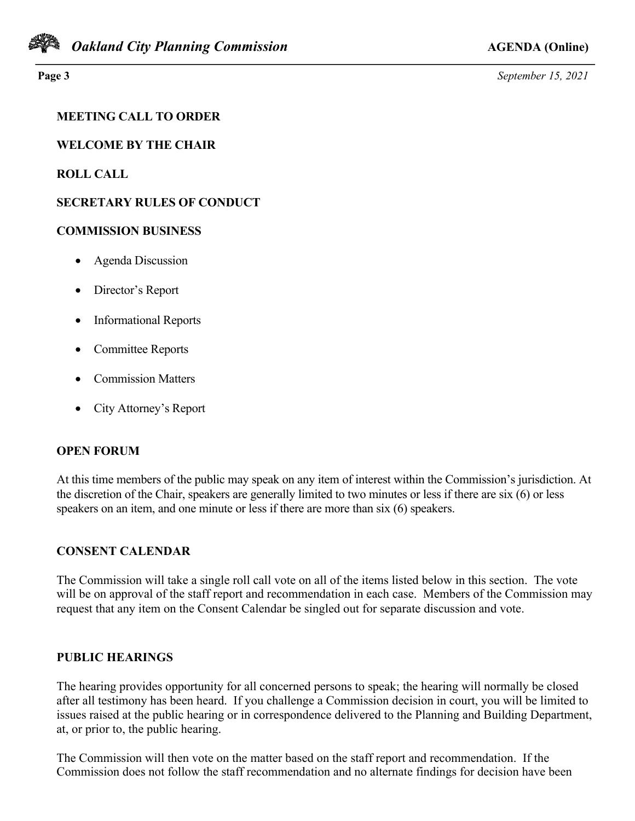

**Page 3** *September 15, 2021*

## **MEETING CALL TO ORDER**

**WELCOME BY THE CHAIR**

**ROLL CALL**

## **SECRETARY RULES OF CONDUCT**

### **COMMISSION BUSINESS**

- Agenda Discussion
- Director's Report
- Informational Reports
- Committee Reports
- Commission Matters
- City Attorney's Report

## **OPEN FORUM**

At this time members of the public may speak on any item of interest within the Commission's jurisdiction. At the discretion of the Chair, speakers are generally limited to two minutes or less if there are six (6) or less speakers on an item, and one minute or less if there are more than six (6) speakers.

## **CONSENT CALENDAR**

The Commission will take a single roll call vote on all of the items listed below in this section. The vote will be on approval of the staff report and recommendation in each case. Members of the Commission may request that any item on the Consent Calendar be singled out for separate discussion and vote.

#### **PUBLIC HEARINGS**

The hearing provides opportunity for all concerned persons to speak; the hearing will normally be closed after all testimony has been heard. If you challenge a Commission decision in court, you will be limited to issues raised at the public hearing or in correspondence delivered to the Planning and Building Department, at, or prior to, the public hearing.

The Commission will then vote on the matter based on the staff report and recommendation. If the Commission does not follow the staff recommendation and no alternate findings for decision have been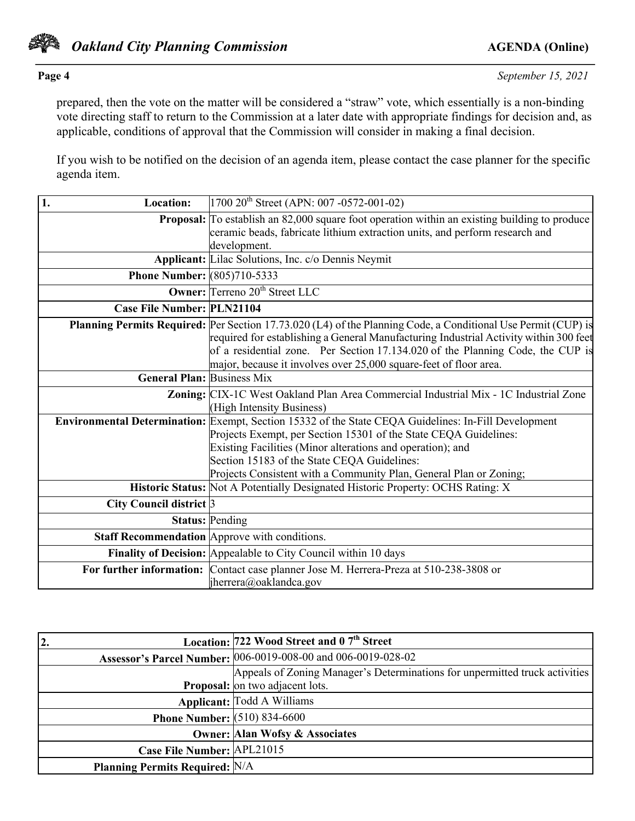

prepared, then the vote on the matter will be considered a "straw" vote, which essentially is a non-binding vote directing staff to return to the Commission at a later date with appropriate findings for decision and, as applicable, conditions of approval that the Commission will consider in making a final decision.

If you wish to be notified on the decision of an agenda item, please contact the case planner for the specific agenda item.

| 1.<br><b>Location:</b>             | $1700 20$ <sup>th</sup> Street (APN: 007 -0572-001-02)                                                                                                                                                                                                                                                                                                        |
|------------------------------------|---------------------------------------------------------------------------------------------------------------------------------------------------------------------------------------------------------------------------------------------------------------------------------------------------------------------------------------------------------------|
|                                    | <b>Proposal:</b> To establish an 82,000 square foot operation within an existing building to produce<br>ceramic beads, fabricate lithium extraction units, and perform research and<br>development.                                                                                                                                                           |
|                                    | <b>Applicant:</b> Lilac Solutions, Inc. c/o Dennis Neymit                                                                                                                                                                                                                                                                                                     |
| <b>Phone Number:</b> (805)710-5333 |                                                                                                                                                                                                                                                                                                                                                               |
|                                    | <b>Owner:</b> Terreno 20 <sup>th</sup> Street LLC                                                                                                                                                                                                                                                                                                             |
| <b>Case File Number: PLN21104</b>  |                                                                                                                                                                                                                                                                                                                                                               |
|                                    | Planning Permits Required: Per Section 17.73.020 (L4) of the Planning Code, a Conditional Use Permit (CUP) is<br>required for establishing a General Manufacturing Industrial Activity within 300 feet<br>of a residential zone. Per Section 17.134.020 of the Planning Code, the CUP is<br>major, because it involves over 25,000 square-feet of floor area. |
| <b>General Plan: Business Mix</b>  |                                                                                                                                                                                                                                                                                                                                                               |
|                                    | Zoning: CIX-1C West Oakland Plan Area Commercial Industrial Mix - 1C Industrial Zone<br>(High Intensity Business)                                                                                                                                                                                                                                             |
|                                    | Environmental Determination: Exempt, Section 15332 of the State CEQA Guidelines: In-Fill Development<br>Projects Exempt, per Section 15301 of the State CEQA Guidelines:<br>Existing Facilities (Minor alterations and operation); and<br>Section 15183 of the State CEQA Guidelines:<br>Projects Consistent with a Community Plan, General Plan or Zoning;   |
|                                    | Historic Status: Not A Potentially Designated Historic Property: OCHS Rating: X                                                                                                                                                                                                                                                                               |
| City Council district 3            |                                                                                                                                                                                                                                                                                                                                                               |
|                                    | <b>Status: Pending</b>                                                                                                                                                                                                                                                                                                                                        |
|                                    | <b>Staff Recommendation</b> Approve with conditions.                                                                                                                                                                                                                                                                                                          |
|                                    | Finality of Decision: Appealable to City Council within 10 days                                                                                                                                                                                                                                                                                               |
|                                    | For further information: Contact case planner Jose M. Herrera-Preza at 510-238-3808 or<br>jherrera@oaklandca.gov                                                                                                                                                                                                                                              |

| $\overline{2}$ .                      | Location: 722 Wood Street and 0 7 <sup>th</sup> Street                      |
|---------------------------------------|-----------------------------------------------------------------------------|
|                                       | Assessor's Parcel Number: 006-0019-008-00 and 006-0019-028-02               |
|                                       | Appeals of Zoning Manager's Determinations for unpermitted truck activities |
|                                       | Proposal: on two adjacent lots.                                             |
|                                       | Applicant: Todd A Williams                                                  |
| <b>Phone Number:</b> (510) 834-6600   |                                                                             |
|                                       | <b>Owner: Alan Wofsy &amp; Associates</b>                                   |
| Case File Number: APL21015            |                                                                             |
| <b>Planning Permits Required: N/A</b> |                                                                             |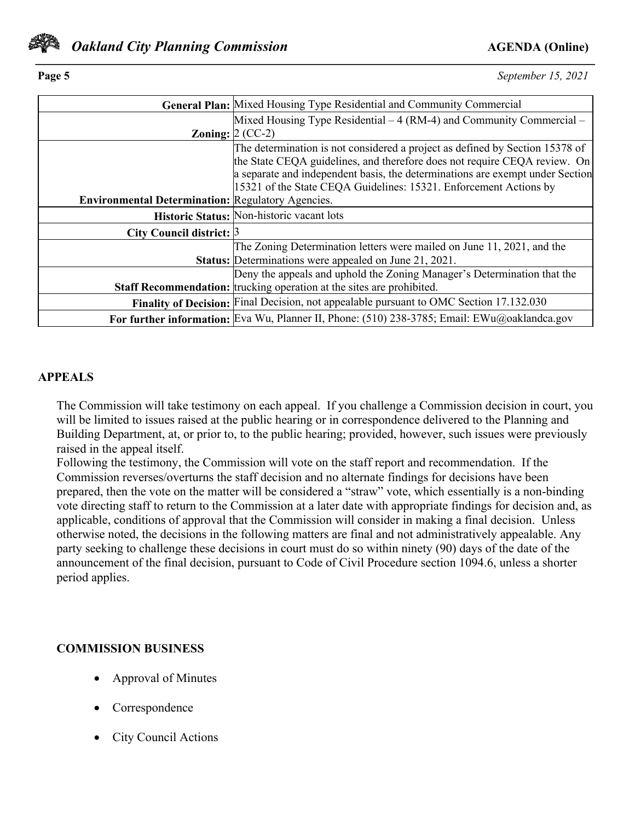

**Page 5** *September 15, 2021*

|                                                          | General Plan: Mixed Housing Type Residential and Community Commercial                        |
|----------------------------------------------------------|----------------------------------------------------------------------------------------------|
|                                                          | Mixed Housing Type Residential $-4$ (RM-4) and Community Commercial $-$                      |
|                                                          | Zoning: $2$ (CC-2)                                                                           |
|                                                          | The determination is not considered a project as defined by Section 15378 of                 |
|                                                          | the State CEQA guidelines, and therefore does not require CEQA review. On                    |
|                                                          | a separate and independent basis, the determinations are exempt under Section                |
|                                                          | 15321 of the State CEQA Guidelines: 15321. Enforcement Actions by                            |
| <b>Environmental Determination: Regulatory Agencies.</b> |                                                                                              |
|                                                          | Historic Status: Non-historic vacant lots                                                    |
| City Council district: $\beta$                           |                                                                                              |
|                                                          | The Zoning Determination letters were mailed on June 11, 2021, and the                       |
|                                                          | Status: Determinations were appealed on June 21, 2021.                                       |
|                                                          | Deny the appeals and uphold the Zoning Manager's Determination that the                      |
|                                                          | <b>Staff Recommendation:</b> trucking operation at the sites are prohibited.                 |
|                                                          | Finality of Decision: Final Decision, not appealable pursuant to OMC Section 17.132.030      |
|                                                          | For further information: Eva Wu, Planner II, Phone: (510) 238-3785; Email: EWu@oaklandca.gov |

### **APPEALS**

The Commission will take testimony on each appeal. If you challenge a Commission decision in court, you will be limited to issues raised at the public hearing or in correspondence delivered to the Planning and Building Department, at, or prior to, to the public hearing; provided, however, such issues were previously raised in the appeal itself.

Following the testimony, the Commission will vote on the staff report and recommendation. If the Commission reverses/overturns the staff decision and no alternate findings for decisions have been prepared, then the vote on the matter will be considered a "straw" vote, which essentially is a non-binding vote directing staff to return to the Commission at a later date with appropriate findings for decision and, as applicable, conditions of approval that the Commission will consider in making a final decision. Unless otherwise noted, the decisions in the following matters are final and not administratively appealable. Any party seeking to challenge these decisions in court must do so within ninety (90) days of the date of the announcement of the final decision, pursuant to Code of Civil Procedure section 1094.6, unless a shorter period applies.

## **COMMISSION BUSINESS**

- Approval of Minutes
- Correspondence
- City Council Actions